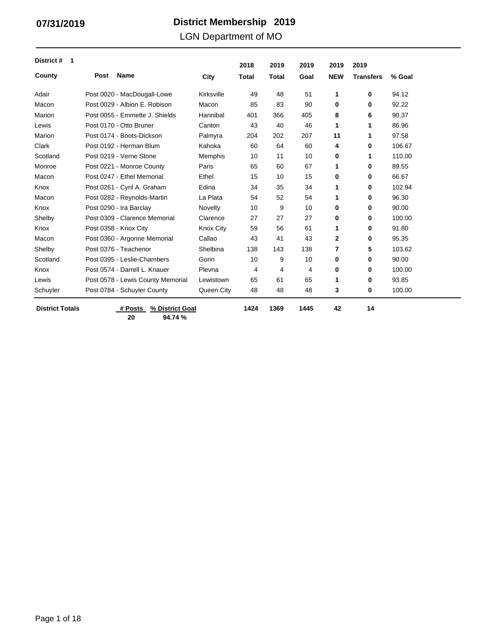### LGN Department of MO

| District #<br>-1       |      |                                   |                  | 2018         | 2019         | 2019 | 2019         | 2019             |        |
|------------------------|------|-----------------------------------|------------------|--------------|--------------|------|--------------|------------------|--------|
| County                 | Post | <b>Name</b>                       | City             | <b>Total</b> | <b>Total</b> | Goal | <b>NEW</b>   | <b>Transfers</b> | % Goal |
| Adair                  |      | Post 0020 - MacDougall-Lowe       | Kirksville       | 49           | 48           | 51   | 1            | 0                | 94.12  |
| Macon                  |      | Post 0029 - Albion E. Robison     | Macon            | 85           | 83           | 90   | 0            | 0                | 92.22  |
| Marion                 |      | Post 0055 - Emmette J. Shields    | Hannibal         | 401          | 366          | 405  | 8            | 6                | 90.37  |
| Lewis                  |      | Post 0170 - Otto Bruner           | Canton           | 43           | 40           | 46   | 1            | 1                | 86.96  |
| Marion                 |      | Post 0174 - Boots-Dickson         | Palmyra          | 204          | 202          | 207  | 11           | 1                | 97.58  |
| Clark                  |      | Post 0192 - Herman Blum           | Kahoka           | 60           | 64           | 60   | 4            | 0                | 106.67 |
| Scotland               |      | Post 0219 - Verne Stone           | Memphis          | 10           | 11           | 10   | 0            | 1                | 110.00 |
| Monroe                 |      | Post 0221 - Monroe County         | Paris            | 65           | 60           | 67   | 1            | 0                | 89.55  |
| Macon                  |      | Post 0247 - Ethel Memorial        | Ethel            | 15           | 10           | 15   | 0            | 0                | 66.67  |
| Knox                   |      | Post 0261 - Cyril A. Graham       | Edina            | 34           | 35           | 34   | 1            | 0                | 102.94 |
| Macon                  |      | Post 0282 - Reynolds-Martin       | La Plata         | 54           | 52           | 54   | 1            | 0                | 96.30  |
| Knox                   |      | Post 0290 - Ira Barclay           | Novelty          | 10           | 9            | 10   | 0            | 0                | 90.00  |
| Shelby                 |      | Post 0309 - Clarence Memorial     | Clarence         | 27           | 27           | 27   | 0            | 0                | 100.00 |
| Knox                   |      | Post 0358 - Knox City             | <b>Knox City</b> | 59           | 56           | 61   | 1            | 0                | 91.80  |
| Macon                  |      | Post 0360 - Argonne Memorial      | Callao           | 43           | 41           | 43   | $\mathbf{2}$ | 0                | 95.35  |
| Shelby                 |      | Post 0376 - Teachenor             | Shelbina         | 138          | 143          | 138  | 7            | 5                | 103.62 |
| Scotland               |      | Post 0395 - Leslie-Chambers       | Gorin            | 10           | 9            | 10   | 0            | 0                | 90.00  |
| Knox                   |      | Post 0574 - Darrell L. Knauer     | Plevna           | 4            | 4            | 4    | 0            | 0                | 100.00 |
| Lewis                  |      | Post 0578 - Lewis County Memorial | Lewistown        | 65           | 61           | 65   | 1            | 0                | 93.85  |
| Schuyler               |      | Post 0784 - Schuyler County       | Queen City       | 48           | 48           | 48   | 3            | 0                | 100.00 |
| <b>District Totals</b> |      | # Posts<br>% District Goal        |                  | 1424         | 1369         | 1445 | 42           | 14               |        |

**20 94.74 %**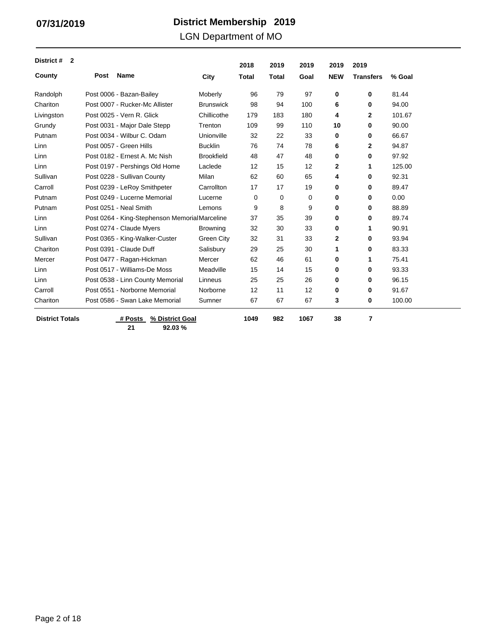LGN Department of MO

| District #<br>$\overline{2}$ |      |                                               |                   | 2018         | 2019         | 2019 | 2019         | 2019             |        |
|------------------------------|------|-----------------------------------------------|-------------------|--------------|--------------|------|--------------|------------------|--------|
| County                       | Post | <b>Name</b>                                   | City              | <b>Total</b> | <b>Total</b> | Goal | <b>NEW</b>   | <b>Transfers</b> | % Goal |
| Randolph                     |      | Post 0006 - Bazan-Bailey                      | Moberly           | 96           | 79           | 97   | 0            | 0                | 81.44  |
| Chariton                     |      | Post 0007 - Rucker-Mc Allister                | <b>Brunswick</b>  | 98           | 94           | 100  | 6            | 0                | 94.00  |
| Livingston                   |      | Post 0025 - Vern R. Glick                     | Chillicothe       | 179          | 183          | 180  | 4            | $\mathbf{2}$     | 101.67 |
| Grundy                       |      | Post 0031 - Major Dale Stepp                  | Trenton           | 109          | 99           | 110  | 10           | 0                | 90.00  |
| Putnam                       |      | Post 0034 - Wilbur C. Odam                    | Unionville        | 32           | 22           | 33   | 0            | 0                | 66.67  |
| Linn                         |      | Post 0057 - Green Hills                       | <b>Bucklin</b>    | 76           | 74           | 78   | 6            | $\mathbf{2}$     | 94.87  |
| Linn                         |      | Post 0182 - Ernest A. Mc Nish                 | <b>Brookfield</b> | 48           | 47           | 48   | 0            | 0                | 97.92  |
| Linn                         |      | Post 0197 - Pershings Old Home                | Laclede           | 12           | 15           | 12   | $\mathbf{2}$ | 1                | 125.00 |
| Sullivan                     |      | Post 0228 - Sullivan County                   | Milan             | 62           | 60           | 65   | 4            | 0                | 92.31  |
| Carroll                      |      | Post 0239 - LeRoy Smithpeter                  | Carrollton        | 17           | 17           | 19   | $\mathbf 0$  | 0                | 89.47  |
| Putnam                       |      | Post 0249 - Lucerne Memorial                  | Lucerne           | 0            | 0            | 0    | 0            | 0                | 0.00   |
| Putnam                       |      | Post 0251 - Neal Smith                        | Lemons            | 9            | 8            | 9    | 0            | 0                | 88.89  |
| Linn                         |      | Post 0264 - King-Stephenson MemorialMarceline |                   | 37           | 35           | 39   | 0            | 0                | 89.74  |
| Linn                         |      | Post 0274 - Claude Myers                      | <b>Browning</b>   | 32           | 30           | 33   | 0            | 1                | 90.91  |
| Sullivan                     |      | Post 0365 - King-Walker-Custer                | Green City        | 32           | 31           | 33   | 2            | 0                | 93.94  |
| Chariton                     |      | Post 0391 - Claude Duff                       | Salisbury         | 29           | 25           | 30   | 1            | 0                | 83.33  |
| Mercer                       |      | Post 0477 - Ragan-Hickman                     | Mercer            | 62           | 46           | 61   | 0            | 1                | 75.41  |
| Linn                         |      | Post 0517 - Williams-De Moss                  | Meadville         | 15           | 14           | 15   | 0            | 0                | 93.33  |
| Linn                         |      | Post 0538 - Linn County Memorial              | Linneus           | 25           | 25           | 26   | 0            | 0                | 96.15  |
| Carroll                      |      | Post 0551 - Norborne Memorial                 | Norborne          | 12           | 11           | 12   | 0            | 0                | 91.67  |
| Chariton                     |      | Post 0586 - Swan Lake Memorial                | Sumner            | 67           | 67           | 67   | 3            | 0                | 100.00 |
| <b>District Totals</b>       |      | % District Goal<br># Posts                    |                   | 1049         | 982          | 1067 | 38           | 7                |        |

**21 92.03 %**

Page 2 of 18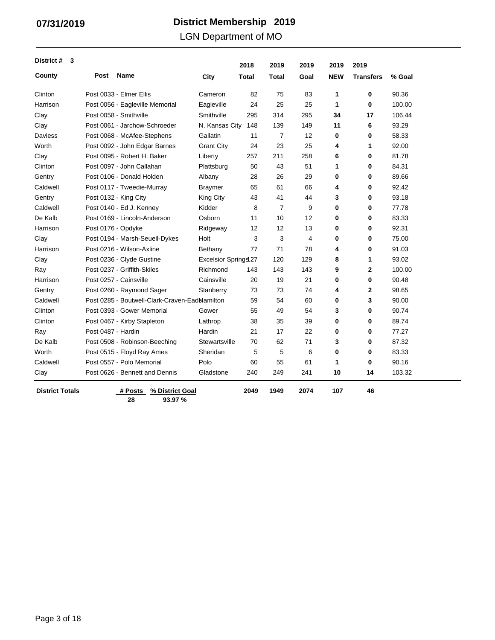LGN Department of MO

| District #<br>3        |                    |                                                |                             | 2018  | 2019  | 2019 | 2019       | 2019             |        |
|------------------------|--------------------|------------------------------------------------|-----------------------------|-------|-------|------|------------|------------------|--------|
| County                 | Post               | <b>Name</b>                                    | City                        | Total | Total | Goal | <b>NEW</b> | <b>Transfers</b> | % Goal |
| Clinton                |                    | Post 0033 - Elmer Ellis                        | Cameron                     | 82    | 75    | 83   | 1          | 0                | 90.36  |
| Harrison               |                    | Post 0056 - Eagleville Memorial                | Eagleville                  | 24    | 25    | 25   | 1          | 0                | 100.00 |
| Clay                   |                    | Post 0058 - Smithville                         | Smithville                  | 295   | 314   | 295  | 34         | 17               | 106.44 |
| Clay                   |                    | Post 0061 - Jarchow-Schroeder                  | N. Kansas City              | 148   | 139   | 149  | 11         | 6                | 93.29  |
| Daviess                |                    | Post 0068 - McAfee-Stephens                    | Gallatin                    | 11    | 7     | 12   | 0          | 0                | 58.33  |
| Worth                  |                    | Post 0092 - John Edgar Barnes                  | <b>Grant City</b>           | 24    | 23    | 25   | 4          | 1                | 92.00  |
| Clay                   |                    | Post 0095 - Robert H. Baker                    | Liberty                     | 257   | 211   | 258  | 6          | 0                | 81.78  |
| Clinton                |                    | Post 0097 - John Callahan                      | Plattsburg                  | 50    | 43    | 51   | 1          | 0                | 84.31  |
| Gentry                 |                    | Post 0106 - Donald Holden                      | Albany                      | 28    | 26    | 29   | 0          | $\mathbf 0$      | 89.66  |
| Caldwell               |                    | Post 0117 - Tweedie-Murray                     | <b>Braymer</b>              | 65    | 61    | 66   | 4          | 0                | 92.42  |
| Gentry                 |                    | Post 0132 - King City                          | King City                   | 43    | 41    | 44   | 3          | 0                | 93.18  |
| Caldwell               |                    | Post 0140 - Ed J. Kenney                       | Kidder                      | 8     | 7     | 9    | 0          | 0                | 77.78  |
| De Kalb                |                    | Post 0169 - Lincoln-Anderson                   | Osborn                      | 11    | 10    | 12   | 0          | $\mathbf 0$      | 83.33  |
| Harrison               | Post 0176 - Opdyke |                                                | Ridgeway                    | 12    | 12    | 13   | 0          | 0                | 92.31  |
| Clay                   |                    | Post 0194 - Marsh-Seuell-Dykes                 | Holt                        | 3     | 3     | 4    | 0          | 0                | 75.00  |
| Harrison               |                    | Post 0216 - Wilson-Axline                      | Bethany                     | 77    | 71    | 78   | 4          | 0                | 91.03  |
| Clay                   |                    | Post 0236 - Clyde Gustine                      | <b>Excelsior Springs 27</b> |       | 120   | 129  | 8          | 1                | 93.02  |
| Ray                    |                    | Post 0237 - Griffith-Skiles                    | Richmond                    | 143   | 143   | 143  | 9          | $\mathbf{2}$     | 100.00 |
| Harrison               |                    | Post 0257 - Cainsville                         | Cainsville                  | 20    | 19    | 21   | 0          | 0                | 90.48  |
| Gentry                 |                    | Post 0260 - Raymond Sager                      | Stanberry                   | 73    | 73    | 74   | 4          | 2                | 98.65  |
| Caldwell               |                    | Post 0285 - Boutwell-Clark-Craven-Eadblamilton |                             | 59    | 54    | 60   | 0          | 3                | 90.00  |
| Clinton                |                    | Post 0393 - Gower Memorial                     | Gower                       | 55    | 49    | 54   | 3          | 0                | 90.74  |
| Clinton                |                    | Post 0467 - Kirby Stapleton                    | Lathrop                     | 38    | 35    | 39   | 0          | 0                | 89.74  |
| Ray                    | Post 0487 - Hardin |                                                | Hardin                      | 21    | 17    | 22   | 0          | 0                | 77.27  |
| De Kalb                |                    | Post 0508 - Robinson-Beeching                  | Stewartsville               | 70    | 62    | 71   | 3          | 0                | 87.32  |
| Worth                  |                    | Post 0515 - Floyd Ray Ames                     | Sheridan                    | 5     | 5     | 6    | 0          | $\bf{0}$         | 83.33  |
| Caldwell               |                    | Post 0557 - Polo Memorial                      | Polo                        | 60    | 55    | 61   | 1          | $\bf{0}$         | 90.16  |
| Clay                   |                    | Post 0626 - Bennett and Dennis                 | Gladstone                   | 240   | 249   | 241  | 10         | 14               | 103.32 |
| <b>District Totals</b> |                    | % District Goal<br># Posts                     |                             | 2049  | 1949  | 2074 | 107        | 46               |        |

**28 93.97 %**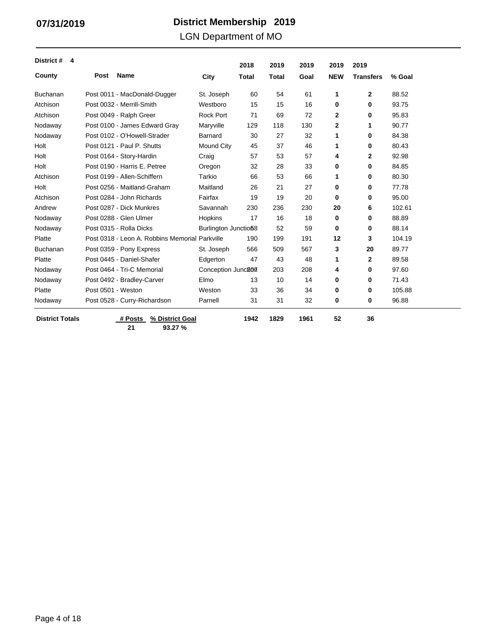### LGN Department of MO

| District #<br>4        |                    |                                                |                      | 2018         | 2019  | 2019 | 2019       | 2019             |        |
|------------------------|--------------------|------------------------------------------------|----------------------|--------------|-------|------|------------|------------------|--------|
| County                 | Post               | <b>Name</b>                                    | City                 | <b>Total</b> | Total | Goal | <b>NEW</b> | <b>Transfers</b> | % Goal |
| <b>Buchanan</b>        |                    | Post 0011 - MacDonald-Dugger                   | St. Joseph           | 60           | 54    | 61   | 1          | $\mathbf{2}$     | 88.52  |
| Atchison               |                    | Post 0032 - Merrill-Smith                      | Westboro             | 15           | 15    | 16   | 0          | 0                | 93.75  |
| Atchison               |                    | Post 0049 - Ralph Greer                        | <b>Rock Port</b>     | 71           | 69    | 72   | 2          | 0                | 95.83  |
| Nodaway                |                    | Post 0100 - James Edward Gray                  | Maryville            | 129          | 118   | 130  | 2          | 1                | 90.77  |
| Nodaway                |                    | Post 0102 - O'Howell-Strader                   | Barnard              | 30           | 27    | 32   | 1          | 0                | 84.38  |
| Holt                   |                    | Post 0121 - Paul P. Shutts                     | Mound City           | 45           | 37    | 46   | 1          | 0                | 80.43  |
| Holt                   |                    | Post 0164 - Story-Hardin                       | Craig                | 57           | 53    | 57   | 4          | $\overline{2}$   | 92.98  |
| Holt                   |                    | Post 0190 - Harris E. Petree                   | Oregon               | 32           | 28    | 33   | 0          | 0                | 84.85  |
| Atchison               |                    | Post 0199 - Allen-Schiffern                    | Tarkio               | 66           | 53    | 66   | 1          | 0                | 80.30  |
| Holt                   |                    | Post 0256 - Maitland-Graham                    | Maitland             | 26           | 21    | 27   | 0          | 0                | 77.78  |
| Atchison               |                    | Post 0284 - John Richards                      | Fairfax              | 19           | 19    | 20   | 0          | 0                | 95.00  |
| Andrew                 |                    | Post 0287 - Dick Munkres                       | Savannah             | 230          | 236   | 230  | 20         | 6                | 102.61 |
| Nodaway                |                    | Post 0288 - Glen Ulmer                         | Hopkins              | 17           | 16    | 18   | 0          | 0                | 88.89  |
| Nodaway                |                    | Post 0315 - Rolla Dicks                        | Burlington Junctio58 |              | 52    | 59   | 0          | 0                | 88.14  |
| Platte                 |                    | Post 0318 - Leon A. Robbins Memorial Parkville |                      | 190          | 199   | 191  | 12         | 3                | 104.19 |
| <b>Buchanan</b>        |                    | Post 0359 - Pony Express                       | St. Joseph           | 566          | 509   | 567  | 3          | 20               | 89.77  |
| Platte                 |                    | Post 0445 - Daniel-Shafer                      | Edgerton             | 47           | 43    | 48   | 1          | $\mathbf{2}$     | 89.58  |
| Nodaway                |                    | Post 0464 - Tri-C Memorial                     | Conception Junc207   |              | 203   | 208  | 4          | 0                | 97.60  |
| Nodaway                |                    | Post 0492 - Bradley-Carver                     | Elmo                 | 13           | 10    | 14   | 0          | 0                | 71.43  |
| Platte                 | Post 0501 - Weston |                                                | Weston               | 33           | 36    | 34   | 0          | 0                | 105.88 |
| Nodaway                |                    | Post 0528 - Curry-Richardson                   | Parnell              | 31           | 31    | 32   | 0          | 0                | 96.88  |
| <b>District Totals</b> |                    | # Posts<br>% District Goal                     |                      | 1942         | 1829  | 1961 | 52         | 36               |        |

**21 93.27 %**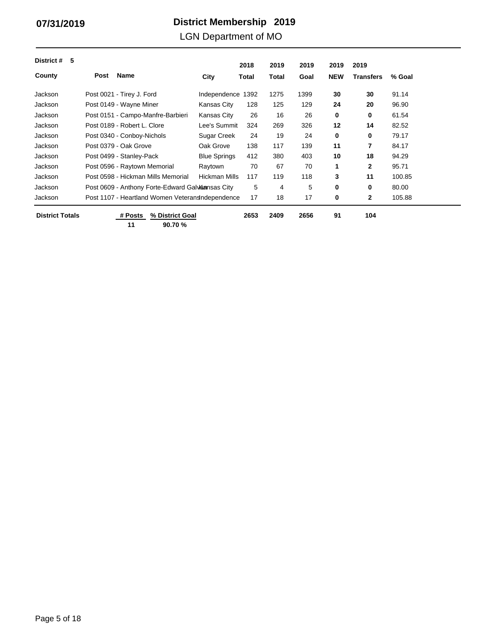LGN Department of MO

| 5<br>District #        |                                                  |                     | 2018  | 2019  | 2019 | 2019       | 2019             |        |
|------------------------|--------------------------------------------------|---------------------|-------|-------|------|------------|------------------|--------|
| County                 | Name<br>Post                                     | City                | Total | Total | Goal | <b>NEW</b> | <b>Transfers</b> | % Goal |
| Jackson                | Post 0021 - Tirey J. Ford                        | Independence        | 1392  | 1275  | 1399 | 30         | 30               | 91.14  |
| Jackson                | Post 0149 - Wayne Miner                          | <b>Kansas City</b>  | 128   | 125   | 129  | 24         | 20               | 96.90  |
| Jackson                | Post 0151 - Campo-Manfre-Barbieri                | Kansas City         | 26    | 16    | 26   | 0          | 0                | 61.54  |
| Jackson                | Post 0189 - Robert L. Clore                      | Lee's Summit        | 324   | 269   | 326  | 12         | 14               | 82.52  |
| Jackson                | Post 0340 - Conboy-Nichols                       | Sugar Creek         | 24    | 19    | 24   | 0          | 0                | 79.17  |
| Jackson                | Post 0379 - Oak Grove                            | Oak Grove           | 138   | 117   | 139  | 11         | 7                | 84.17  |
| Jackson                | Post 0499 - Stanley-Pack                         | <b>Blue Springs</b> | 412   | 380   | 403  | 10         | 18               | 94.29  |
| Jackson                | Post 0596 - Raytown Memorial                     | Raytown             | 70    | 67    | 70   | 1          | 2                | 95.71  |
| Jackson                | Post 0598 - Hickman Mills Memorial               | Hickman Mills       | 117   | 119   | 118  | 3          | 11               | 100.85 |
| Jackson                | Post 0609 - Anthony Forte-Edward Galvansas City  |                     | 5     | 4     | 5    | 0          | 0                | 80.00  |
| Jackson                | Post 1107 - Heartland Women Veterans ndependence |                     | 17    | 18    | 17   | 0          | 2                | 105.88 |
| <b>District Totals</b> | % District Goal<br># Posts<br>11<br>90.70 %      |                     | 2653  | 2409  | 2656 | 91         | 104              |        |

**90.70 %**

Page 5 of 18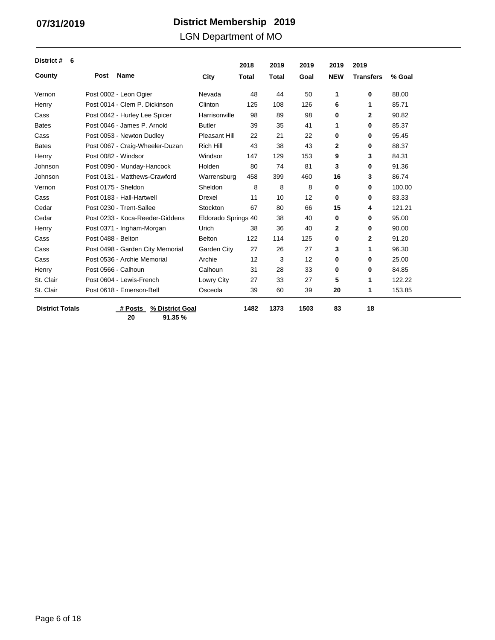LGN Department of MO

| District #<br>6        |                    |                                  |                     | 2018         | 2019         | 2019 | 2019        | 2019             |        |
|------------------------|--------------------|----------------------------------|---------------------|--------------|--------------|------|-------------|------------------|--------|
| County                 | Post               | <b>Name</b>                      | City                | <b>Total</b> | <b>Total</b> | Goal | <b>NEW</b>  | <b>Transfers</b> | % Goal |
| Vernon                 |                    | Post 0002 - Leon Ogier           | Nevada              | 48           | 44           | 50   | 1           | 0                | 88.00  |
| Henry                  |                    | Post 0014 - Clem P. Dickinson    | Clinton             | 125          | 108          | 126  | 6           | 1                | 85.71  |
| Cass                   |                    | Post 0042 - Hurley Lee Spicer    | Harrisonville       | 98           | 89           | 98   | 0           | $\mathbf{2}$     | 90.82  |
| <b>Bates</b>           |                    | Post 0046 - James P. Arnold      | <b>Butler</b>       | 39           | 35           | 41   | 1           | 0                | 85.37  |
| Cass                   |                    | Post 0053 - Newton Dudley        | Pleasant Hill       | 22           | 21           | 22   | 0           | 0                | 95.45  |
| <b>Bates</b>           |                    | Post 0067 - Craig-Wheeler-Duzan  | <b>Rich Hill</b>    | 43           | 38           | 43   | 2           | 0                | 88.37  |
| Henry                  |                    | Post 0082 - Windsor              | Windsor             | 147          | 129          | 153  | 9           | 3                | 84.31  |
| Johnson                |                    | Post 0090 - Munday-Hancock       | Holden              | 80           | 74           | 81   | 3           | 0                | 91.36  |
| Johnson                |                    | Post 0131 - Matthews-Crawford    | Warrensburg         | 458          | 399          | 460  | 16          | 3                | 86.74  |
| Vernon                 |                    | Post 0175 - Sheldon              | Sheldon             | 8            | 8            | 8    | $\mathbf 0$ | 0                | 100.00 |
| Cass                   |                    | Post 0183 - Hall-Hartwell        | <b>Drexel</b>       | 11           | 10           | 12   | 0           | 0                | 83.33  |
| Cedar                  |                    | Post 0230 - Trent-Sallee         | Stockton            | 67           | 80           | 66   | 15          | 4                | 121.21 |
| Cedar                  |                    | Post 0233 - Koca-Reeder-Giddens  | Eldorado Springs 40 |              | 38           | 40   | 0           | 0                | 95.00  |
| Henry                  |                    | Post 0371 - Ingham-Morgan        | Urich               | 38           | 36           | 40   | 2           | 0                | 90.00  |
| Cass                   | Post 0488 - Belton |                                  | <b>Belton</b>       | 122          | 114          | 125  | 0           | $\mathbf{2}$     | 91.20  |
| Cass                   |                    | Post 0498 - Garden City Memorial | Garden City         | 27           | 26           | 27   | 3           | 1                | 96.30  |
| Cass                   |                    | Post 0536 - Archie Memorial      | Archie              | 12           | 3            | 12   | 0           | 0                | 25.00  |
| Henry                  |                    | Post 0566 - Calhoun              | Calhoun             | 31           | 28           | 33   | 0           | 0                | 84.85  |
| St. Clair              |                    | Post 0604 - Lewis-French         | Lowry City          | 27           | 33           | 27   | 5           | 1                | 122.22 |
| St. Clair              |                    | Post 0618 - Emerson-Bell         | Osceola             | 39           | 60           | 39   | 20          | 1                | 153.85 |
| <b>District Totals</b> |                    | % District Goal<br># Posts       |                     | 1482         | 1373         | 1503 | 83          | 18               |        |

**20 91.35 %**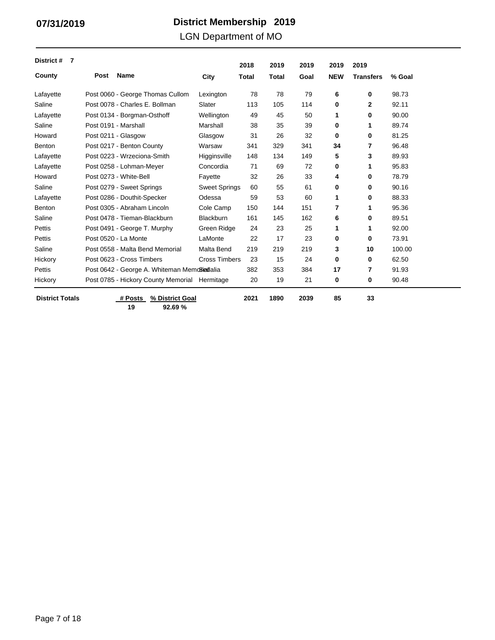LGN Department of MO

| District #<br>7        |                      |                                             |                      | 2018  | 2019         | 2019 | 2019       | 2019             |        |
|------------------------|----------------------|---------------------------------------------|----------------------|-------|--------------|------|------------|------------------|--------|
| County                 | Post                 | <b>Name</b>                                 | City                 | Total | <b>Total</b> | Goal | <b>NEW</b> | <b>Transfers</b> | % Goal |
| Lafayette              |                      | Post 0060 - George Thomas Cullom            | Lexington            | 78    | 78           | 79   | 6          | 0                | 98.73  |
| Saline                 |                      | Post 0078 - Charles E. Bollman              | Slater               | 113   | 105          | 114  | 0          | 2                | 92.11  |
| Lafayette              |                      | Post 0134 - Borgman-Osthoff                 | Wellington           | 49    | 45           | 50   | 1          | 0                | 90.00  |
| Saline                 | Post 0191 - Marshall |                                             | Marshall             | 38    | 35           | 39   | 0          | 1                | 89.74  |
| Howard                 | Post 0211 - Glasgow  |                                             | Glasgow              | 31    | 26           | 32   | 0          | 0                | 81.25  |
| Benton                 |                      | Post 0217 - Benton County                   | Warsaw               | 341   | 329          | 341  | 34         | 7                | 96.48  |
| Lafayette              |                      | Post 0223 - Wrzeciona-Smith                 | Higginsville         | 148   | 134          | 149  | 5          | 3                | 89.93  |
| Lafayette              |                      | Post 0258 - Lohman-Meyer                    | Concordia            | 71    | 69           | 72   | 0          | 1                | 95.83  |
| Howard                 |                      | Post 0273 - White-Bell                      | Fayette              | 32    | 26           | 33   | 4          | 0                | 78.79  |
| Saline                 |                      | Post 0279 - Sweet Springs                   | <b>Sweet Springs</b> | 60    | 55           | 61   | 0          | 0                | 90.16  |
| Lafayette              |                      | Post 0286 - Douthit-Specker                 | Odessa               | 59    | 53           | 60   | 1          | 0                | 88.33  |
| Benton                 |                      | Post 0305 - Abraham Lincoln                 | Cole Camp            | 150   | 144          | 151  | 7          | 1                | 95.36  |
| Saline                 |                      | Post 0478 - Tieman-Blackburn                | <b>Blackburn</b>     | 161   | 145          | 162  | 6          | 0                | 89.51  |
| Pettis                 |                      | Post 0491 - George T. Murphy                | Green Ridge          | 24    | 23           | 25   | 1          | 1                | 92.00  |
| Pettis                 |                      | Post 0520 - La Monte                        | LaMonte              | 22    | 17           | 23   | 0          | 0                | 73.91  |
| Saline                 |                      | Post 0558 - Malta Bend Memorial             | Malta Bend           | 219   | 219          | 219  | 3          | 10               | 100.00 |
| Hickory                |                      | Post 0623 - Cross Timbers                   | <b>Cross Timbers</b> | 23    | 15           | 24   | 0          | 0                | 62.50  |
| Pettis                 |                      | Post 0642 - George A. Whiteman MemoSiadalia |                      | 382   | 353          | 384  | 17         | 7                | 91.93  |
| Hickory                |                      | Post 0785 - Hickory County Memorial         | Hermitage            | 20    | 19           | 21   | 0          | 0                | 90.48  |
| <b>District Totals</b> |                      | # Posts<br>% District Goal                  |                      | 2021  | 1890         | 2039 | 85         | 33               |        |

**19 92.69 % % District Goal**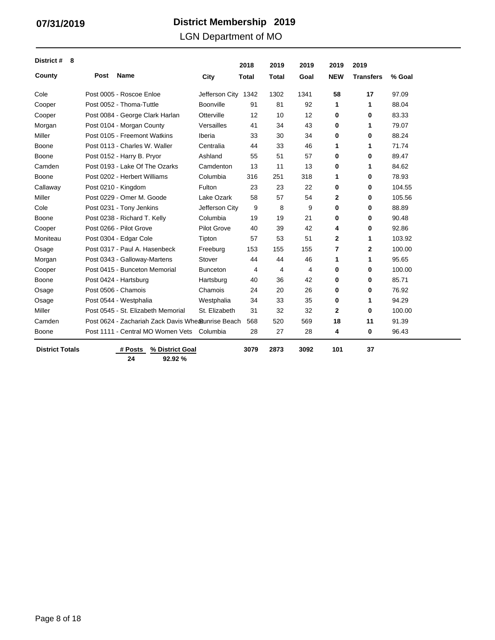LGN Department of MO

| District #<br>- 8      |                                                    |                    | 2018         | 2019         | 2019 | 2019           | 2019             |        |
|------------------------|----------------------------------------------------|--------------------|--------------|--------------|------|----------------|------------------|--------|
| County                 | Post<br><b>Name</b>                                | City               | <b>Total</b> | <b>Total</b> | Goal | <b>NEW</b>     | <b>Transfers</b> | % Goal |
| Cole                   | Post 0005 - Roscoe Enloe                           | Jefferson City     | 1342         | 1302         | 1341 | 58             | 17               | 97.09  |
| Cooper                 | Post 0052 - Thoma-Tuttle                           | Boonville          | 91           | 81           | 92   | 1              | 1                | 88.04  |
| Cooper                 | Post 0084 - George Clark Harlan                    | Otterville         | 12           | 10           | 12   | 0              | 0                | 83.33  |
| Morgan                 | Post 0104 - Morgan County                          | Versailles         | 41           | 34           | 43   | 0              | 1                | 79.07  |
| Miller                 | Post 0105 - Freemont Watkins                       | Iberia             | 33           | 30           | 34   | 0              | 0                | 88.24  |
| Boone                  | Post 0113 - Charles W. Waller                      | Centralia          | 44           | 33           | 46   | 1              | 1                | 71.74  |
| Boone                  | Post 0152 - Harry B. Pryor                         | Ashland            | 55           | 51           | 57   | 0              | 0                | 89.47  |
| Camden                 | Post 0193 - Lake Of The Ozarks                     | Camdenton          | 13           | 11           | 13   | 0              | 1                | 84.62  |
| Boone                  | Post 0202 - Herbert Williams                       | Columbia           | 316          | 251          | 318  | 1              | 0                | 78.93  |
| Callaway               | Post 0210 - Kingdom                                | Fulton             | 23           | 23           | 22   | 0              | 0                | 104.55 |
| Miller                 | Post 0229 - Omer M. Goode                          | Lake Ozark         | 58           | 57           | 54   | 2              | 0                | 105.56 |
| Cole                   | Post 0231 - Tony Jenkins                           | Jefferson City     | 9            | 8            | 9    | 0              | 0                | 88.89  |
| Boone                  | Post 0238 - Richard T. Kelly                       | Columbia           | 19           | 19           | 21   | 0              | 0                | 90.48  |
| Cooper                 | Post 0266 - Pilot Grove                            | <b>Pilot Grove</b> | 40           | 39           | 42   | 4              | 0                | 92.86  |
| Moniteau               | Post 0304 - Edgar Cole                             | Tipton             | 57           | 53           | 51   | $\mathbf{2}$   | 1                | 103.92 |
| Osage                  | Post 0317 - Paul A. Hasenbeck                      | Freeburg           | 153          | 155          | 155  | 7              | $\mathbf{2}$     | 100.00 |
| Morgan                 | Post 0343 - Galloway-Martens                       | Stover             | 44           | 44           | 46   | 1              | 1                | 95.65  |
| Cooper                 | Post 0415 - Bunceton Memorial                      | <b>Bunceton</b>    | 4            | 4            | 4    | 0              | 0                | 100.00 |
| Boone                  | Post 0424 - Hartsburg                              | Hartsburg          | 40           | 36           | 42   | 0              | 0                | 85.71  |
| Osage                  | Post 0506 - Chamois                                | Chamois            | 24           | 20           | 26   | 0              | 0                | 76.92  |
| Osage                  | Post 0544 - Westphalia                             | Westphalia         | 34           | 33           | 35   | 0              | 1                | 94.29  |
| Miller                 | Post 0545 - St. Elizabeth Memorial                 | St. Elizabeth      | 31           | 32           | 32   | $\overline{2}$ | $\bf{0}$         | 100.00 |
| Camden                 | Post 0624 - Zachariah Zack Davis Whe Sunrise Beach |                    | 568          | 520          | 569  | 18             | 11               | 91.39  |
| Boone                  | Post 1111 - Central MO Women Vets Columbia         |                    | 28           | 27           | 28   | 4              | 0                | 96.43  |
| <b>District Totals</b> | # Posts<br>% District Goal<br>92.92%<br>24         |                    | 3079         | 2873         | 3092 | 101            | 37               |        |

 $\overline{\phantom{0}}$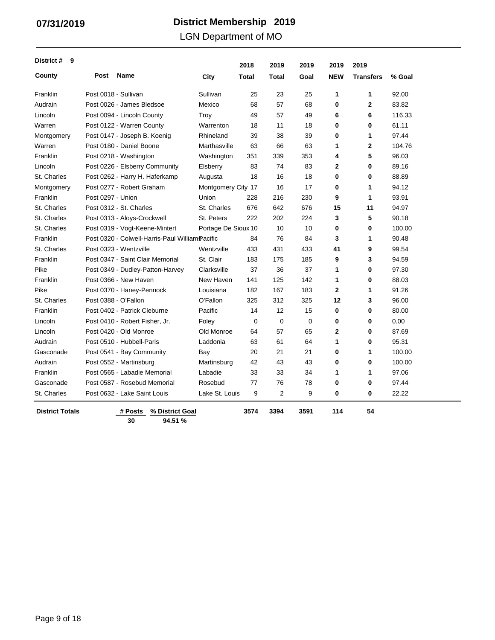LGN Department of MO

| District #<br>9        |                      |                                                 |                     | 2018        | 2019           | 2019        | 2019           | 2019             |        |
|------------------------|----------------------|-------------------------------------------------|---------------------|-------------|----------------|-------------|----------------|------------------|--------|
| County                 | Post                 | <b>Name</b>                                     | City                | Total       | <b>Total</b>   | Goal        | <b>NEW</b>     | <b>Transfers</b> | % Goal |
| Franklin               | Post 0018 - Sullivan |                                                 | Sullivan            | 25          | 23             | 25          | 1              | 1                | 92.00  |
| Audrain                |                      | Post 0026 - James Bledsoe                       | Mexico              | 68          | 57             | 68          | $\mathbf 0$    | $\overline{2}$   | 83.82  |
| Lincoln                |                      | Post 0094 - Lincoln County                      | Troy                | 49          | 57             | 49          | 6              | 6                | 116.33 |
| Warren                 |                      | Post 0122 - Warren County                       | Warrenton           | 18          | 11             | 18          | $\bf{0}$       | 0                | 61.11  |
| Montgomery             |                      | Post 0147 - Joseph B. Koenig                    | Rhineland           | 39          | 38             | 39          | $\bf{0}$       | 1                | 97.44  |
| Warren                 |                      | Post 0180 - Daniel Boone                        | Marthasville        | 63          | 66             | 63          | 1              | 2                | 104.76 |
| Franklin               |                      | Post 0218 - Washington                          | Washington          | 351         | 339            | 353         | 4              | 5                | 96.03  |
| Lincoln                |                      | Post 0226 - Elsberry Community                  | Elsberry            | 83          | 74             | 83          | $\mathbf{2}$   | 0                | 89.16  |
| St. Charles            |                      | Post 0262 - Harry H. Haferkamp                  | Augusta             | 18          | 16             | 18          | $\bf{0}$       | 0                | 88.89  |
| Montgomery             |                      | Post 0277 - Robert Graham                       | Montgomery City 17  |             | 16             | 17          | 0              | 1                | 94.12  |
| Franklin               | Post 0297 - Union    |                                                 | Union               | 228         | 216            | 230         | 9              | 1                | 93.91  |
| St. Charles            |                      | Post 0312 - St. Charles                         | St. Charles         | 676         | 642            | 676         | 15             | 11               | 94.97  |
| St. Charles            |                      | Post 0313 - Aloys-Crockwell                     | St. Peters          | 222         | 202            | 224         | 3              | 5                | 90.18  |
| St. Charles            |                      | Post 0319 - Vogt-Keene-Mintert                  | Portage De Sioux 10 |             | 10             | 10          | 0              | 0                | 100.00 |
| Franklin               |                      | Post 0320 - Colwell-Harris-Paul William Pacific |                     | 84          | 76             | 84          | 3              | 1                | 90.48  |
| St. Charles            |                      | Post 0323 - Wentzville                          | Wentzville          | 433         | 431            | 433         | 41             | 9                | 99.54  |
| Franklin               |                      | Post 0347 - Saint Clair Memorial                | St. Clair           | 183         | 175            | 185         | 9              | 3                | 94.59  |
| Pike                   |                      | Post 0349 - Dudley-Patton-Harvey                | Clarksville         | 37          | 36             | 37          | 1              | 0                | 97.30  |
| Franklin               |                      | Post 0366 - New Haven                           | New Haven           | 141         | 125            | 142         | 1              | 0                | 88.03  |
| Pike                   |                      | Post 0370 - Haney-Pennock                       | Louisiana           | 182         | 167            | 183         | $\overline{2}$ | 1                | 91.26  |
| St. Charles            |                      | Post 0388 - O'Fallon                            | O'Fallon            | 325         | 312            | 325         | 12             | 3                | 96.00  |
| Franklin               |                      | Post 0402 - Patrick Cleburne                    | Pacific             | 14          | 12             | 15          | $\bf{0}$       | 0                | 80.00  |
| Lincoln                |                      | Post 0410 - Robert Fisher, Jr.                  | Foley               | $\mathbf 0$ | $\mathbf 0$    | $\mathbf 0$ | 0              | 0                | 0.00   |
| Lincoln                |                      | Post 0420 - Old Monroe                          | Old Monroe          | 64          | 57             | 65          | 2              | 0                | 87.69  |
| Audrain                |                      | Post 0510 - Hubbell-Paris                       | Laddonia            | 63          | 61             | 64          | 1              | 0                | 95.31  |
| Gasconade              |                      | Post 0541 - Bay Community                       | Bay                 | 20          | 21             | 21          | 0              | 1                | 100.00 |
| Audrain                |                      | Post 0552 - Martinsburg                         | Martinsburg         | 42          | 43             | 43          | 0              | 0                | 100.00 |
| Franklin               |                      | Post 0565 - Labadie Memorial                    | Labadie             | 33          | 33             | 34          | $\mathbf{1}$   | 1                | 97.06  |
| Gasconade              |                      | Post 0587 - Rosebud Memorial                    | Rosebud             | 77          | 76             | 78          | $\bf{0}$       | 0                | 97.44  |
| St. Charles            |                      | Post 0632 - Lake Saint Louis                    | Lake St. Louis      | 9           | $\overline{2}$ | 9           | 0              | 0                | 22.22  |
| <b>District Totals</b> |                      | % District Goal<br># Posts<br>30<br>94.51 %     |                     | 3574        | 3394           | 3591        | 114            | 54               |        |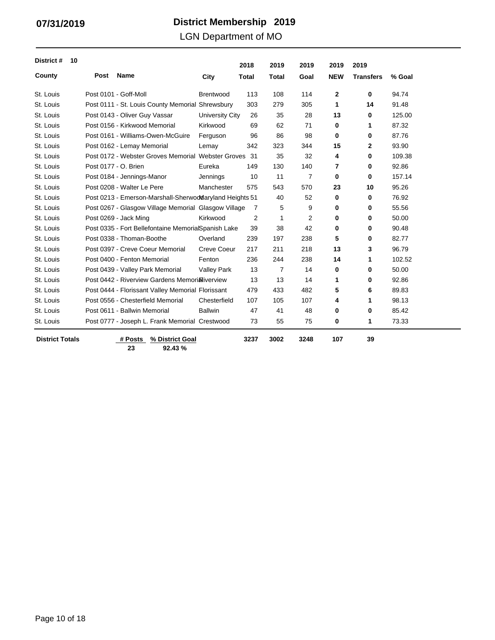LGN Department of MO

| District #<br>10       |                      |                                                          |                    | 2018           | 2019           | 2019           | 2019        | 2019             |        |
|------------------------|----------------------|----------------------------------------------------------|--------------------|----------------|----------------|----------------|-------------|------------------|--------|
| County                 | Post                 | Name                                                     | City               | <b>Total</b>   | <b>Total</b>   | Goal           | <b>NEW</b>  | <b>Transfers</b> | % Goal |
| St. Louis              |                      | Post 0101 - Goff-Moll                                    | <b>Brentwood</b>   | 113            | 108            | 114            | 2           | 0                | 94.74  |
| St. Louis              |                      | Post 0111 - St. Louis County Memorial Shrewsbury         |                    | 303            | 279            | 305            | $\mathbf 1$ | 14               | 91.48  |
| St. Louis              |                      | Post 0143 - Oliver Guy Vassar                            | University City    | 26             | 35             | 28             | 13          | 0                | 125.00 |
| St. Louis              |                      | Post 0156 - Kirkwood Memorial                            | Kirkwood           | 69             | 62             | 71             | 0           | 1                | 87.32  |
| St. Louis              |                      | Post 0161 - Williams-Owen-McGuire                        | Ferguson           | 96             | 86             | 98             | $\bf{0}$    | 0                | 87.76  |
| St. Louis              |                      | Post 0162 - Lemay Memorial                               | Lemay              | 342            | 323            | 344            | 15          | $\mathbf{2}$     | 93.90  |
| St. Louis              |                      | Post 0172 - Webster Groves Memorial Webster Groves       |                    | -31            | 35             | 32             | 4           | 0                | 109.38 |
| St. Louis              | Post 0177 - O. Brien |                                                          | Eureka             | 149            | 130            | 140            | 7           | 0                | 92.86  |
| St. Louis              |                      | Post 0184 - Jennings-Manor                               | Jennings           | 10             | 11             | $\overline{7}$ | 0           | 0                | 157.14 |
| St. Louis              |                      | Post 0208 - Walter Le Pere                               | Manchester         | 575            | 543            | 570            | 23          | 10               | 95.26  |
| St. Louis              |                      | Post 0213 - Emerson-Marshall-Sherwod daryland Heights 51 |                    |                | 40             | 52             | 0           | $\mathbf 0$      | 76.92  |
| St. Louis              |                      | Post 0267 - Glasgow Village Memorial Glasgow Village     |                    | 7              | 5              | 9              | 0           | 0                | 55.56  |
| St. Louis              |                      | Post 0269 - Jack Ming                                    | Kirkwood           | $\overline{2}$ | $\mathbf{1}$   | 2              | $\bf{0}$    | 0                | 50.00  |
| St. Louis              |                      | Post 0335 - Fort Bellefontaine MemorialSpanish Lake      |                    | 39             | 38             | 42             | 0           | 0                | 90.48  |
| St. Louis              |                      | Post 0338 - Thoman-Boothe                                | Overland           | 239            | 197            | 238            | 5           | 0                | 82.77  |
| St. Louis              |                      | Post 0397 - Creve Coeur Memorial                         | Creve Coeur        | 217            | 211            | 218            | 13          | 3                | 96.79  |
| St. Louis              |                      | Post 0400 - Fenton Memorial                              | Fenton             | 236            | 244            | 238            | 14          | 1                | 102.52 |
| St. Louis              |                      | Post 0439 - Valley Park Memorial                         | <b>Valley Park</b> | 13             | $\overline{7}$ | 14             | 0           | 0                | 50.00  |
| St. Louis              |                      | Post 0442 - Riverview Gardens Memori Niverview           |                    | 13             | 13             | 14             | 1           | 0                | 92.86  |
| St. Louis              |                      | Post 0444 - Florissant Valley Memorial Florissant        |                    | 479            | 433            | 482            | 5           | 6                | 89.83  |
| St. Louis              |                      | Post 0556 - Chesterfield Memorial                        | Chesterfield       | 107            | 105            | 107            | 4           | 1                | 98.13  |
| St. Louis              |                      | Post 0611 - Ballwin Memorial                             | <b>Ballwin</b>     | 47             | 41             | 48             | 0           | 0                | 85.42  |
| St. Louis              |                      | Post 0777 - Joseph L. Frank Memorial Crestwood           |                    | 73             | 55             | 75             | 0           | 1                | 73.33  |
| <b>District Totals</b> |                      | # Posts<br>% District Goal                               |                    | 3237           | 3002           | 3248           | 107         | 39               |        |

**23 92.43 %**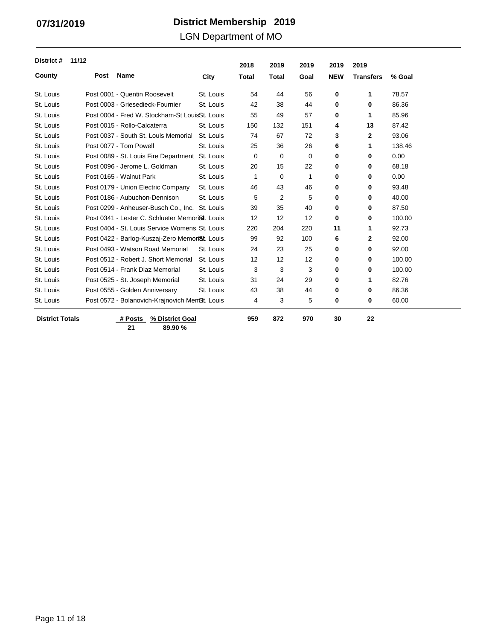LGN Department of MO

| District #             | 11/12 |                                                              |           | 2018         | 2019  | 2019 | 2019       | 2019             |        |
|------------------------|-------|--------------------------------------------------------------|-----------|--------------|-------|------|------------|------------------|--------|
| County                 | Post  | <b>Name</b>                                                  | City      | <b>Total</b> | Total | Goal | <b>NEW</b> | <b>Transfers</b> | % Goal |
| St. Louis              |       | Post 0001 - Quentin Roosevelt                                | St. Louis | 54           | 44    | 56   | $\bf{0}$   | 1                | 78.57  |
| St. Louis              |       | Post 0003 - Griesedieck-Fournier                             | St. Louis | 42           | 38    | 44   | 0          | 0                | 86.36  |
| St. Louis              |       | Post 0004 - Fred W. Stockham-St LouisSt. Louis               |           | 55           | 49    | 57   | 0          | 1                | 85.96  |
| St. Louis              |       | Post 0015 - Rollo-Calcaterra                                 | St. Louis | 150          | 132   | 151  | 4          | 13               | 87.42  |
| St. Louis              |       | Post 0037 - South St. Louis Memorial                         | St. Louis | 74           | 67    | 72   | 3          | 2                | 93.06  |
| St. Louis              |       | Post 0077 - Tom Powell                                       | St. Louis | 25           | 36    | 26   | 6          | 1                | 138.46 |
| St. Louis              |       | Post 0089 - St. Louis Fire Department St. Louis              |           | 0            | 0     | 0    | 0          | 0                | 0.00   |
| St. Louis              |       | Post 0096 - Jerome L. Goldman                                | St. Louis | 20           | 15    | 22   | $\bf{0}$   | 0                | 68.18  |
| St. Louis              |       | Post 0165 - Walnut Park                                      | St. Louis | $\mathbf{1}$ | 0     | 1    | 0          | 0                | 0.00   |
| St. Louis              |       | Post 0179 - Union Electric Company                           | St. Louis | 46           | 43    | 46   | 0          | 0                | 93.48  |
| St. Louis              |       | Post 0186 - Aubuchon-Dennison                                | St. Louis | 5            | 2     | 5    | 0          | 0                | 40.00  |
| St. Louis              |       | Post 0299 - Anheuser-Busch Co., Inc. St. Louis               |           | 39           | 35    | 40   | 0          | 0                | 87.50  |
| St. Louis              |       | Post 0341 - Lester C. Schlueter Memori <sup>St</sup> . Louis |           | 12           | 12    | 12   | 0          | 0                | 100.00 |
| St. Louis              |       | Post 0404 - St. Louis Service Womens St. Louis               |           | 220          | 204   | 220  | 11         | 1                | 92.73  |
| St. Louis              |       | Post 0422 - Barlog-Kuszaj-Zero Memori <sup>g</sup> t. Louis  |           | 99           | 92    | 100  | 6          | 2                | 92.00  |
| St. Louis              |       | Post 0493 - Watson Road Memorial                             | St. Louis | 24           | 23    | 25   | 0          | 0                | 92.00  |
| St. Louis              |       | Post 0512 - Robert J. Short Memorial                         | St. Louis | 12           | 12    | 12   | 0          | 0                | 100.00 |
| St. Louis              |       | Post 0514 - Frank Diaz Memorial                              | St. Louis | 3            | 3     | 3    | $\bf{0}$   | 0                | 100.00 |
| St. Louis              |       | Post 0525 - St. Joseph Memorial                              | St. Louis | 31           | 24    | 29   | 0          | 1                | 82.76  |
| St. Louis              |       | Post 0555 - Golden Anniversary                               | St. Louis | 43           | 38    | 44   | 0          | 0                | 86.36  |
| St. Louis              |       | Post 0572 - Bolanovich-Krajnovich Mem <sup>g</sup> t. Louis  |           | 4            | 3     | 5    | 0          | 0                | 60.00  |
| <b>District Totals</b> |       | # Posts<br>% District Goal                                   |           | 959          | 872   | 970  | 30         | 22               |        |

**21 89.90 %**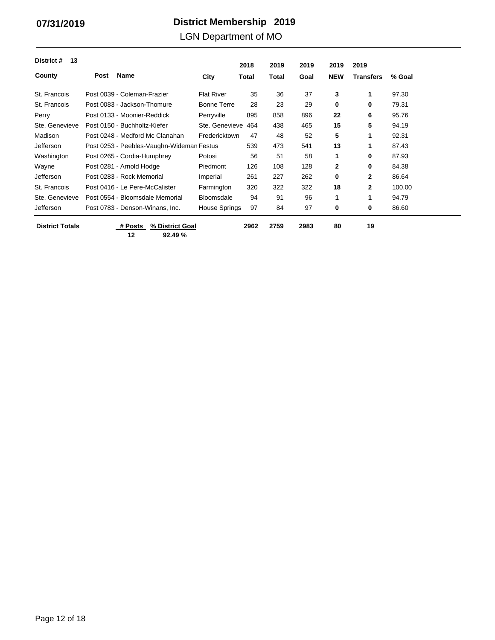### LGN Department of MO

| 13<br>District #       |                                           |                    | 2018  | 2019  | 2019 | 2019         | 2019         |        |
|------------------------|-------------------------------------------|--------------------|-------|-------|------|--------------|--------------|--------|
| County                 | Name<br><b>Post</b>                       | City               | Total | Total | Goal | <b>NEW</b>   | Transfers    | % Goal |
| St. Francois           | Post 0039 - Coleman-Frazier               | <b>Flat River</b>  | 35    | 36    | 37   | 3            | 1            | 97.30  |
| St. Francois           | Post 0083 - Jackson-Thomure               | <b>Bonne Terre</b> | 28    | 23    | 29   | 0            | 0            | 79.31  |
| Perry                  | Post 0133 - Moonier-Reddick               | Perryville         | 895   | 858   | 896  | 22           | 6            | 95.76  |
| Ste. Genevieve         | Post 0150 - Buchholtz-Kiefer              | Ste. Genevieve     | 464   | 438   | 465  | 15           | 5            | 94.19  |
| Madison                | Post 0248 - Medford Mc Clanahan           | Fredericktown      | 47    | 48    | 52   | 5            | 1            | 92.31  |
| Jefferson              | Post 0253 - Peebles-Vaughn-Wideman Festus |                    | 539   | 473   | 541  | 13           | $\mathbf{1}$ | 87.43  |
| Washington             | Post 0265 - Cordia-Humphrey               | Potosi             | 56    | 51    | 58   | 1            | 0            | 87.93  |
| Wayne                  | Post 0281 - Arnold Hodge                  | Piedmont           | 126   | 108   | 128  | $\mathbf{2}$ | 0            | 84.38  |
| Jefferson              | Post 0283 - Rock Memorial                 | Imperial           | 261   | 227   | 262  | 0            | $\mathbf{2}$ | 86.64  |
| St. Francois           | Post 0416 - Le Pere-McCalister            | Farmington         | 320   | 322   | 322  | 18           | $\mathbf{2}$ | 100.00 |
| Ste. Genevieve         | Post 0554 - Bloomsdale Memorial           | <b>Bloomsdale</b>  | 94    | 91    | 96   | 1            | 1            | 94.79  |
| <b>Jefferson</b>       | Post 0783 - Denson-Winans, Inc.           | House Springs      | 97    | 84    | 97   | 0            | 0            | 86.60  |
| <b>District Totals</b> | % District Goal<br># Posts                |                    | 2962  | 2759  | 2983 | 80           | 19           |        |

 $\overline{\phantom{a}}$ 

**12 92.49 %**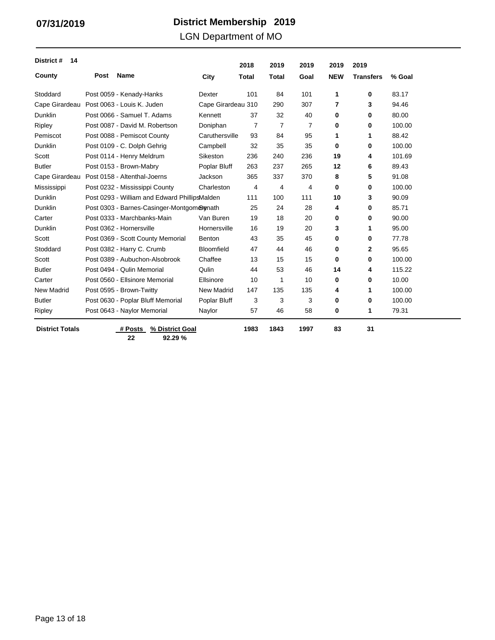### LGN Department of MO

| District #<br>14       |      |                                               |                    | 2018         | 2019           | 2019 | 2019       | 2019             |        |
|------------------------|------|-----------------------------------------------|--------------------|--------------|----------------|------|------------|------------------|--------|
| County                 | Post | <b>Name</b>                                   | City               | <b>Total</b> | <b>Total</b>   | Goal | <b>NEW</b> | <b>Transfers</b> | % Goal |
| Stoddard               |      | Post 0059 - Kenady-Hanks                      | <b>Dexter</b>      | 101          | 84             | 101  | 1          | 0                | 83.17  |
| Cape Girardeau         |      | Post 0063 - Louis K. Juden                    | Cape Girardeau 310 |              | 290            | 307  | 7          | 3                | 94.46  |
| <b>Dunklin</b>         |      | Post 0066 - Samuel T. Adams                   | Kennett            | 37           | 32             | 40   | 0          | 0                | 80.00  |
| Ripley                 |      | Post 0087 - David M. Robertson                | Doniphan           | 7            | $\overline{7}$ | 7    | 0          | 0                | 100.00 |
| Pemiscot               |      | Post 0088 - Pemiscot County                   | Caruthersville     | 93           | 84             | 95   | 1          | 1                | 88.42  |
| Dunklin                |      | Post 0109 - C. Dolph Gehrig                   | Campbell           | 32           | 35             | 35   | 0          | 0                | 100.00 |
| Scott                  |      | Post 0114 - Henry Meldrum                     | Sikeston           | 236          | 240            | 236  | 19         | 4                | 101.69 |
| <b>Butler</b>          |      | Post 0153 - Brown-Mabry                       | Poplar Bluff       | 263          | 237            | 265  | 12         | 6                | 89.43  |
| Cape Girardeau         |      | Post 0158 - Altenthal-Joerns                  | Jackson            | 365          | 337            | 370  | 8          | 5                | 91.08  |
| Mississippi            |      | Post 0232 - Mississippi County                | Charleston         | 4            | 4              | 4    | 0          | 0                | 100.00 |
| Dunklin                |      | Post 0293 - William and Edward PhillipsMalden |                    | 111          | 100            | 111  | 10         | 3                | 90.09  |
| <b>Dunklin</b>         |      | Post 0303 - Barnes-Casinger-Montgomerenath    |                    | 25           | 24             | 28   | 4          | 0                | 85.71  |
| Carter                 |      | Post 0333 - Marchbanks-Main                   | Van Buren          | 19           | 18             | 20   | 0          | 0                | 90.00  |
| <b>Dunklin</b>         |      | Post 0362 - Hornersville                      | Hornersville       | 16           | 19             | 20   | 3          | 1                | 95.00  |
| Scott                  |      | Post 0369 - Scott County Memorial             | Benton             | 43           | 35             | 45   | 0          | 0                | 77.78  |
| Stoddard               |      | Post 0382 - Harry C. Crumb                    | Bloomfield         | 47           | 44             | 46   | 0          | $\overline{2}$   | 95.65  |
| Scott                  |      | Post 0389 - Aubuchon-Alsobrook                | Chaffee            | 13           | 15             | 15   | 0          | 0                | 100.00 |
| <b>Butler</b>          |      | Post 0494 - Qulin Memorial                    | Qulin              | 44           | 53             | 46   | 14         | 4                | 115.22 |
| Carter                 |      | Post 0560 - Ellsinore Memorial                | Ellsinore          | 10           | 1              | 10   | 0          | 0                | 10.00  |
| <b>New Madrid</b>      |      | Post 0595 - Brown-Twitty                      | <b>New Madrid</b>  | 147          | 135            | 135  | 4          | 1                | 100.00 |
| <b>Butler</b>          |      | Post 0630 - Poplar Bluff Memorial             | Poplar Bluff       | 3            | 3              | 3    | 0          | 0                | 100.00 |
| Ripley                 |      | Post 0643 - Naylor Memorial                   | Naylor             | 57           | 46             | 58   | 0          | 1                | 79.31  |
| <b>District Totals</b> |      | % District Goal<br># Posts                    |                    | 1983         | 1843           | 1997 | 83         | 31               |        |

**22 92.29 %**

Page 13 of 18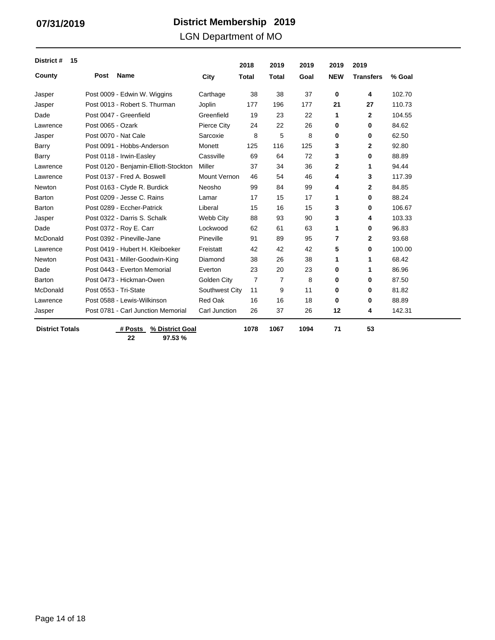### LGN Department of MO

| District #<br>15       |                   |                                       |                     | 2018           | 2019         | 2019 | 2019         | 2019             |        |
|------------------------|-------------------|---------------------------------------|---------------------|----------------|--------------|------|--------------|------------------|--------|
| County                 | Post              | <b>Name</b>                           | City                | <b>Total</b>   | <b>Total</b> | Goal | <b>NEW</b>   | <b>Transfers</b> | % Goal |
| Jasper                 |                   | Post 0009 - Edwin W. Wiggins          | Carthage            | 38             | 38           | 37   | 0            | 4                | 102.70 |
| Jasper                 |                   | Post 0013 - Robert S. Thurman         | Joplin              | 177            | 196          | 177  | 21           | 27               | 110.73 |
| Dade                   |                   | Post 0047 - Greenfield                | Greenfield          | 19             | 23           | 22   | 1            | 2                | 104.55 |
| Lawrence               | Post 0065 - Ozark |                                       | Pierce City         | 24             | 22           | 26   | 0            | 0                | 84.62  |
| Jasper                 |                   | Post 0070 - Nat Cale                  | Sarcoxie            | 8              | 5            | 8    | 0            | $\bf{0}$         | 62.50  |
| Barry                  |                   | Post 0091 - Hobbs-Anderson            | Monett              | 125            | 116          | 125  | 3            | $\mathbf{2}$     | 92.80  |
| Barry                  |                   | Post 0118 - Irwin-Easley              | Cassville           | 69             | 64           | 72   | 3            | $\bf{0}$         | 88.89  |
| Lawrence               |                   | Post 0120 - Benjamin-Elliott-Stockton | Miller              | 37             | 34           | 36   | $\mathbf{2}$ | 1                | 94.44  |
| Lawrence               |                   | Post 0137 - Fred A. Boswell           | <b>Mount Vernon</b> | 46             | 54           | 46   | 4            | 3                | 117.39 |
| Newton                 |                   | Post 0163 - Clyde R. Burdick          | Neosho              | 99             | 84           | 99   | 4            | $\mathbf{2}$     | 84.85  |
| Barton                 |                   | Post 0209 - Jesse C. Rains            | Lamar               | 17             | 15           | 17   | 1            | $\bf{0}$         | 88.24  |
| Barton                 |                   | Post 0289 - Eccher-Patrick            | Liberal             | 15             | 16           | 15   | 3            | $\bf{0}$         | 106.67 |
| Jasper                 |                   | Post 0322 - Darris S. Schalk          | Webb City           | 88             | 93           | 90   | 3            | 4                | 103.33 |
| Dade                   |                   | Post 0372 - Roy E. Carr               | Lockwood            | 62             | 61           | 63   | 1            | $\bf{0}$         | 96.83  |
| McDonald               |                   | Post 0392 - Pineville-Jane            | Pineville           | 91             | 89           | 95   | 7            | $\mathbf{2}$     | 93.68  |
| Lawrence               |                   | Post 0419 - Hubert H. Kleiboeker      | Freistatt           | 42             | 42           | 42   | 5            | 0                | 100.00 |
| Newton                 |                   | Post 0431 - Miller-Goodwin-King       | Diamond             | 38             | 26           | 38   | 1            | 1                | 68.42  |
| Dade                   |                   | Post 0443 - Everton Memorial          | Everton             | 23             | 20           | 23   | $\bf{0}$     | 1                | 86.96  |
| Barton                 |                   | Post 0473 - Hickman-Owen              | Golden City         | $\overline{7}$ | 7            | 8    | 0            | 0                | 87.50  |
| McDonald               |                   | Post 0553 - Tri-State                 | Southwest City      | 11             | 9            | 11   | 0            | 0                | 81.82  |
| Lawrence               |                   | Post 0588 - Lewis-Wilkinson           | Red Oak             | 16             | 16           | 18   | $\bf{0}$     | 0                | 88.89  |
| Jasper                 |                   | Post 0781 - Carl Junction Memorial    | Carl Junction       | 26             | 37           | 26   | 12           | 4                | 142.31 |
| <b>District Totals</b> |                   | % District Goal<br># Posts            |                     | 1078           | 1067         | 1094 | 71           | 53               |        |

**22 97.53 %**

Page 14 of 18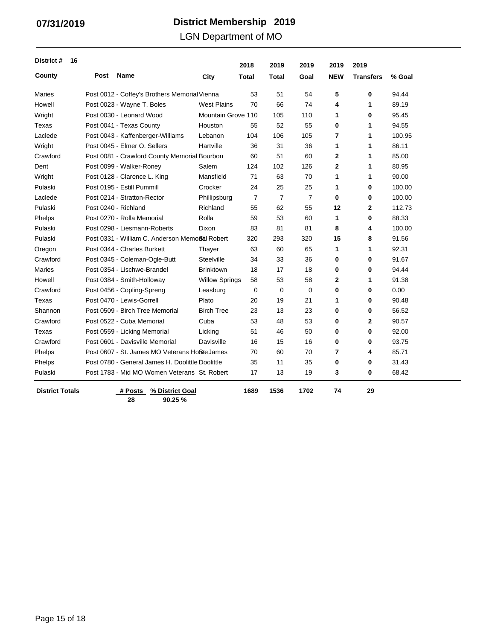LGN Department of MO

| District #<br>16       |      |                                                  |                       | 2018           | 2019           | 2019           | 2019       | 2019             |        |
|------------------------|------|--------------------------------------------------|-----------------------|----------------|----------------|----------------|------------|------------------|--------|
| County                 | Post | <b>Name</b>                                      | City                  | Total          | <b>Total</b>   | Goal           | <b>NEW</b> | <b>Transfers</b> | % Goal |
| Maries                 |      | Post 0012 - Coffey's Brothers Memorial Vienna    |                       | 53             | 51             | 54             | 5          | 0                | 94.44  |
| Howell                 |      | Post 0023 - Wayne T. Boles                       | <b>West Plains</b>    | 70             | 66             | 74             | 4          | 1                | 89.19  |
| Wright                 |      | Post 0030 - Leonard Wood                         | Mountain Grove 110    |                | 105            | 110            | 1          | 0                | 95.45  |
| Texas                  |      | Post 0041 - Texas County                         | Houston               | 55             | 52             | 55             | 0          | 1                | 94.55  |
| Laclede                |      | Post 0043 - Kaffenberger-Williams                | Lebanon               | 104            | 106            | 105            | 7          | 1                | 100.95 |
| Wright                 |      | Post 0045 - Elmer O. Sellers                     | Hartville             | 36             | 31             | 36             | 1          | 1                | 86.11  |
| Crawford               |      | Post 0081 - Crawford County Memorial Bourbon     |                       | 60             | 51             | 60             | 2          | 1                | 85.00  |
| Dent                   |      | Post 0099 - Walker-Roney                         | Salem                 | 124            | 102            | 126            | 2          | 1                | 80.95  |
| Wright                 |      | Post 0128 - Clarence L. King                     | Mansfield             | 71             | 63             | 70             | 1          | 1                | 90.00  |
| Pulaski                |      | Post 0195 - Estill Pummill                       | Crocker               | 24             | 25             | 25             | 1          | 0                | 100.00 |
| Laclede                |      | Post 0214 - Stratton-Rector                      | Phillipsburg          | $\overline{7}$ | $\overline{7}$ | $\overline{7}$ | 0          | 0                | 100.00 |
| Pulaski                |      | Post 0240 - Richland                             | Richland              | 55             | 62             | 55             | 12         | $\mathbf{2}$     | 112.73 |
| Phelps                 |      | Post 0270 - Rolla Memorial                       | Rolla                 | 59             | 53             | 60             | 1          | 0                | 88.33  |
| Pulaski                |      | Post 0298 - Liesmann-Roberts                     | Dixon                 | 83             | 81             | 81             | 8          | 4                | 100.00 |
| Pulaski                |      | Post 0331 - William C. Anderson Memoßal Robert   |                       | 320            | 293            | 320            | 15         | 8                | 91.56  |
| Oregon                 |      | Post 0344 - Charles Burkett                      | Thayer                | 63             | 60             | 65             | 1          | 1                | 92.31  |
| Crawford               |      | Post 0345 - Coleman-Ogle-Butt                    | Steelville            | 34             | 33             | 36             | 0          | 0                | 91.67  |
| <b>Maries</b>          |      | Post 0354 - Lischwe-Brandel                      | <b>Brinktown</b>      | 18             | 17             | 18             | 0          | 0                | 94.44  |
| Howell                 |      | Post 0384 - Smith-Holloway                       | <b>Willow Springs</b> | 58             | 53             | 58             | 2          | 1                | 91.38  |
| Crawford               |      | Post 0456 - Copling-Spreng                       | Leasburg              | 0              | $\mathbf 0$    | $\mathbf 0$    | 0          | 0                | 0.00   |
| Texas                  |      | Post 0470 - Lewis-Gorrell                        | Plato                 | 20             | 19             | 21             | 1          | 0                | 90.48  |
| Shannon                |      | Post 0509 - Birch Tree Memorial                  | <b>Birch Tree</b>     | 23             | 13             | 23             | 0          | 0                | 56.52  |
| Crawford               |      | Post 0522 - Cuba Memorial                        | Cuba                  | 53             | 48             | 53             | 0          | $\mathbf{2}$     | 90.57  |
| Texas                  |      | Post 0559 - Licking Memorial                     | Licking               | 51             | 46             | 50             | 0          | 0                | 92.00  |
| Crawford               |      | Post 0601 - Davisville Memorial                  | Davisville            | 16             | 15             | 16             | 0          | 0                | 93.75  |
| Phelps                 |      | Post 0607 - St. James MO Veterans HoBte James    |                       | 70             | 60             | 70             | 7          | 4                | 85.71  |
| Phelps                 |      | Post 0780 - General James H. Doolittle Doolittle |                       | 35             | 11             | 35             | 0          | 0                | 31.43  |
| Pulaski                |      | Post 1783 - Mid MO Women Veterans St. Robert     |                       | 17             | 13             | 19             | 3          | 0                | 68.42  |
| <b>District Totals</b> |      | % District Goal<br># Posts                       |                       | 1689           | 1536           | 1702           | 74         | 29               |        |

**28 90.25 %**

Page 15 of 18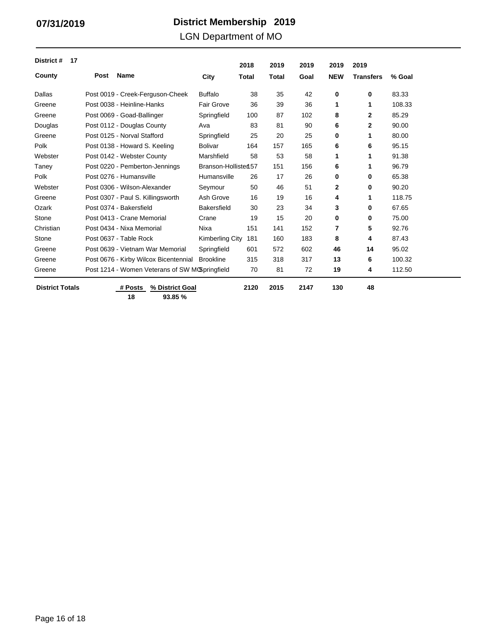Page 16 of 18

# **District Membership 07/31/2019 2019**

LGN Department of MO

| District #<br>17       |      |                                                |                        | 2018         | 2019         | 2019 | 2019       | 2019             |        |
|------------------------|------|------------------------------------------------|------------------------|--------------|--------------|------|------------|------------------|--------|
| County                 | Post | <b>Name</b>                                    | City                   | <b>Total</b> | <b>Total</b> | Goal | <b>NEW</b> | <b>Transfers</b> | % Goal |
| Dallas                 |      | Post 0019 - Creek-Ferguson-Cheek               | <b>Buffalo</b>         | 38           | 35           | 42   | 0          | 0                | 83.33  |
| Greene                 |      | Post 0038 - Heinline-Hanks                     | <b>Fair Grove</b>      | 36           | 39           | 36   | 1          | 1                | 108.33 |
| Greene                 |      | Post 0069 - Goad-Ballinger                     | Springfield            | 100          | 87           | 102  | 8          | 2                | 85.29  |
| Douglas                |      | Post 0112 - Douglas County                     | Ava                    | 83           | 81           | 90   | 6          | 2                | 90.00  |
| Greene                 |      | Post 0125 - Norval Stafford                    | Springfield            | 25           | 20           | 25   | 0          | 1                | 80.00  |
| Polk                   |      | Post 0138 - Howard S. Keeling                  | <b>Bolivar</b>         | 164          | 157          | 165  | 6          | 6                | 95.15  |
| Webster                |      | Post 0142 - Webster County                     | Marshfield             | 58           | 53           | 58   | 1          | 1                | 91.38  |
| Taney                  |      | Post 0220 - Pemberton-Jennings                 | Branson-Hollisten 57   |              | 151          | 156  | 6          | 1                | 96.79  |
| Polk                   |      | Post 0276 - Humansville                        | Humansville            | 26           | 17           | 26   | 0          | 0                | 65.38  |
| Webster                |      | Post 0306 - Wilson-Alexander                   | Seymour                | 50           | 46           | 51   | 2          | 0                | 90.20  |
| Greene                 |      | Post 0307 - Paul S. Killingsworth              | Ash Grove              | 16           | 19           | 16   | 4          | 1                | 118.75 |
| Ozark                  |      | Post 0374 - Bakersfield                        | <b>Bakersfield</b>     | 30           | 23           | 34   | 3          | 0                | 67.65  |
| Stone                  |      | Post 0413 - Crane Memorial                     | Crane                  | 19           | 15           | 20   | 0          | 0                | 75.00  |
| Christian              |      | Post 0434 - Nixa Memorial                      | Nixa                   | 151          | 141          | 152  | 7          | 5                | 92.76  |
| Stone                  |      | Post 0637 - Table Rock                         | <b>Kimberling City</b> | 181          | 160          | 183  | 8          | 4                | 87.43  |
| Greene                 |      | Post 0639 - Vietnam War Memorial               | Springfield            | 601          | 572          | 602  | 46         | 14               | 95.02  |
| Greene                 |      | Post 0676 - Kirby Wilcox Bicentennial          | <b>Brookline</b>       | 315          | 318          | 317  | 13         | 6                | 100.32 |
| Greene                 |      | Post 1214 - Women Veterans of SW MCSpringfield |                        | 70           | 81           | 72   | 19         | 4                | 112.50 |
| <b>District Totals</b> |      | # Posts<br>% District Goal<br>18<br>93.85%     |                        | 2120         | 2015         | 2147 | 130        | 48               |        |

 $\mathcal{L}_{\mathcal{A}}$  and  $\mathcal{L}_{\mathcal{A}}$  are the set of the set of  $\mathcal{L}_{\mathcal{A}}$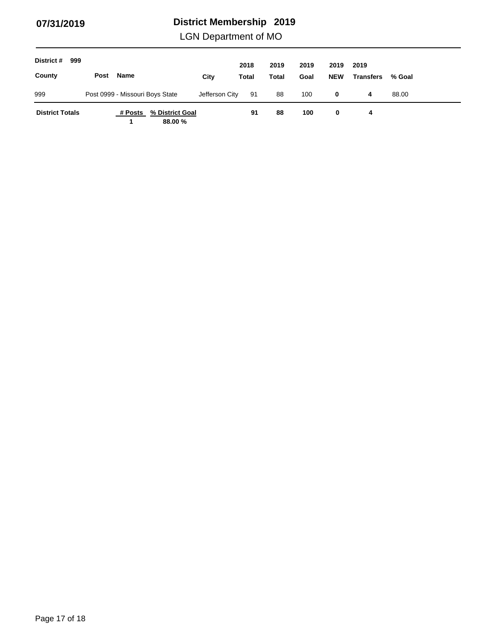LGN Department of MO

| District #<br>999      |      |                                 |                            |                | 2018  | 2019  | 2019 | 2019       | 2019             |        |
|------------------------|------|---------------------------------|----------------------------|----------------|-------|-------|------|------------|------------------|--------|
| County                 | Post | Name                            |                            | City           | Total | Total | Goal | <b>NEW</b> | <b>Transfers</b> | % Goal |
| 999                    |      | Post 0999 - Missouri Boys State |                            | Jefferson City | 91    | 88    | 100  | 0          | 4                | 88.00  |
| <b>District Totals</b> |      | # Posts                         | % District Goal<br>88.00 % |                | 91    | 88    | 100  | 0          | 4                |        |